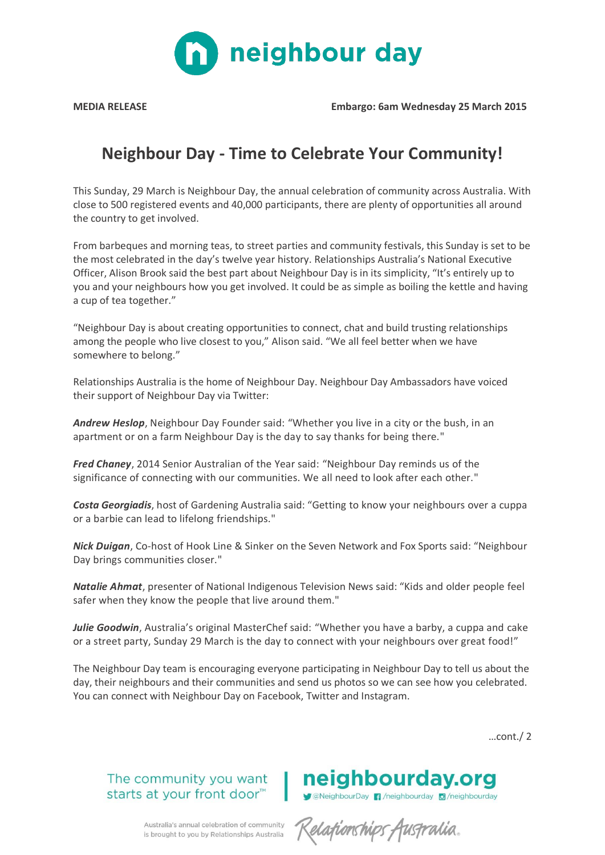

**MEDIA RELEASE Embargo: 6am Wednesday 25 March 2015**

## **Neighbour Day - Time to Celebrate Your Community!**

This Sunday, 29 March is Neighbour Day, the annual celebration of community across Australia. With close to 500 registered events and 40,000 participants, there are plenty of opportunities all around the country to get involved.

From barbeques and morning teas, to street parties and community festivals, this Sunday is set to be the most celebrated in the day's twelve year history. Relationships Australia's National Executive Officer, Alison Brook said the best part about Neighbour Day is in its simplicity, "It's entirely up to you and your neighbours how you get involved. It could be as simple as boiling the kettle and having a cup of tea together."

"Neighbour Day is about creating opportunities to connect, chat and build trusting relationships among the people who live closest to you," Alison said. "We all feel better when we have somewhere to belong."

Relationships Australia is the home of Neighbour Day. Neighbour Day Ambassadors have voiced their support of Neighbour Day via Twitter:

*[Andrew Heslop](https://twitter.com/AndrewHeslop)*, Neighbour Day Founder said: "Whether you live in a city or the bush, in an apartment or on a farm Neighbour Day is the day to say thanks for being there."

*Fred Chaney*, 2014 Senior Australian of the Year said: "Neighbour Day reminds us of the significance of connecting with our communities. We all need to look after each other."

*Costa Georgiadis*, host of Gardening Australia said: "Getting to know your neighbours over a cuppa or a barbie can lead to lifelong friendships."

*Nick Duigan*, Co-host of Hook Line & Sinker on the Seven Network and Fox Sports said: "Neighbour Day brings communities closer."

*Natalie Ahmat*, presenter of National Indigenous Television News said: "Kids and older people feel safer when they know the people that live around them."

*[Julie Goodwin](https://twitter.com/juliegoodwin)*, Australia's original MasterChef said: "Whether you have a barby, a cuppa and cake or a street party, Sunday 29 March is the day to connect with your neighbours over great food!"

The Neighbour Day team is encouraging everyone participating in Neighbour Day to tell us about the day, their neighbours and their communities and send us photos so we can see how you celebrated. You can connect with Neighbour Day on Facebook, Twitter and Instagram.

…cont./ 2

The community you want starts at your front door<sup>™</sup>



neighbourday.org

ConveighbourDay 1 / neighbourday 0 / neighbourday

Australia's annual celebration of community is brought to you by Relationships Australia